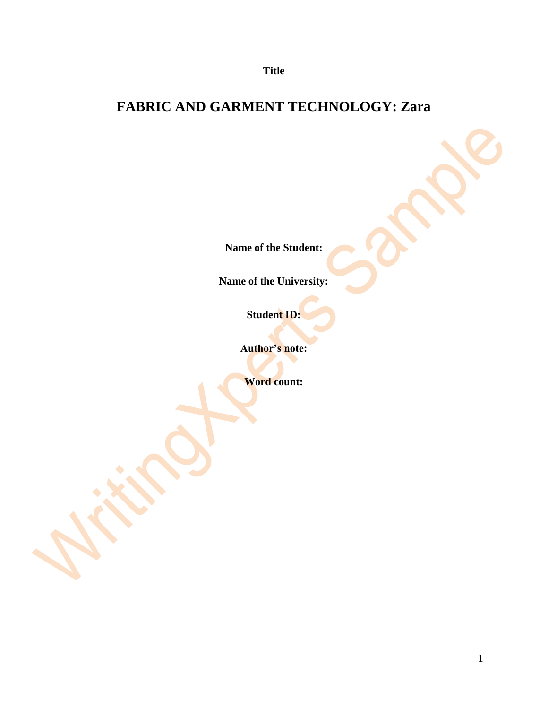**Title**

# **FABRIC AND GARMENT TECHNOLOGY: Zara**

**Name of the Student:**

**Name of the University:**

**Student ID:**

**Author's note:**

**Word count:**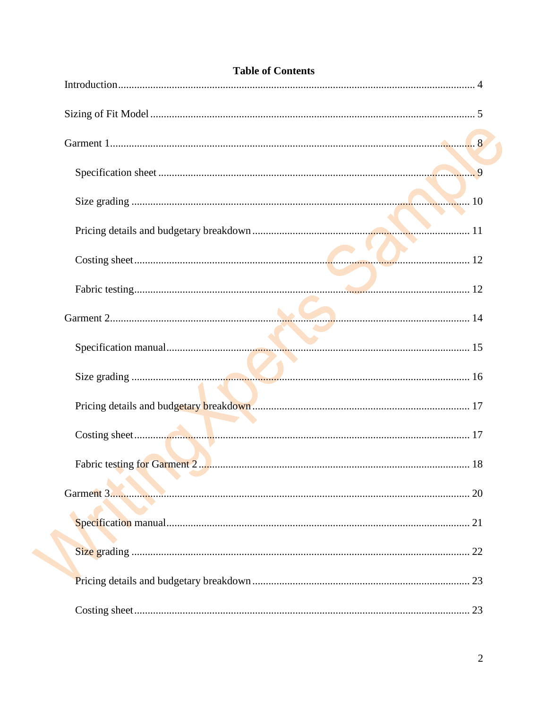| <b>Table of Contents</b> |
|--------------------------|
|                          |
|                          |
|                          |
|                          |
|                          |
|                          |
|                          |
|                          |
|                          |
|                          |
|                          |
|                          |
|                          |
|                          |
|                          |
|                          |
|                          |
|                          |
| 23                       |

#### Table of Contents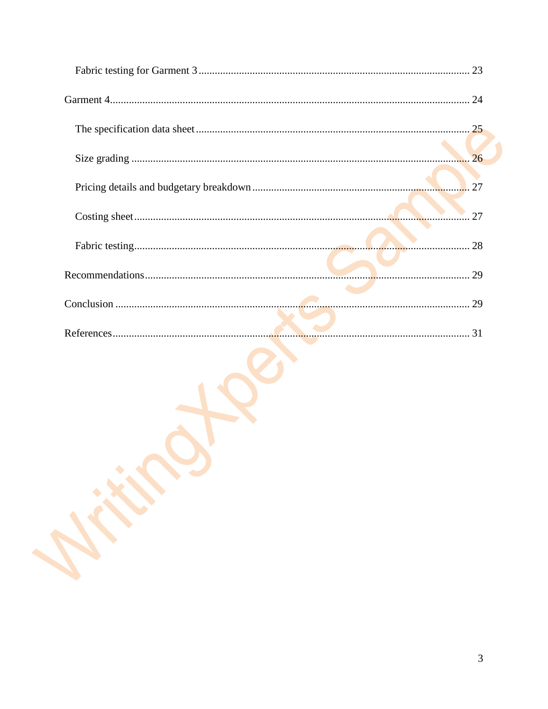| 26 |
|----|
|    |
| 27 |
|    |
|    |
|    |
|    |
|    |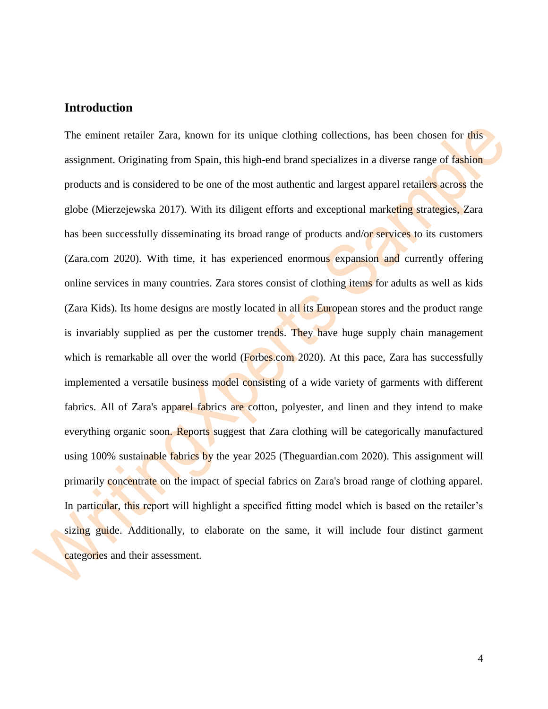#### <span id="page-3-0"></span>**Introduction**

The eminent retailer Zara, known for its unique clothing collections, has been chosen for this assignment. Originating from Spain, this high-end brand specializes in a diverse range of fashion products and is considered to be one of the most authentic and largest apparel retailers across the globe (Mierzejewska 2017). With its diligent efforts and exceptional marketing strategies, Zara has been successfully disseminating its broad range of products and/or services to its customers (Zara.com 2020). With time, it has experienced enormous expansion and currently offering online services in many countries. Zara stores consist of clothing items for adults as well as kids (Zara Kids). Its home designs are mostly located in all its European stores and the product range is invariably supplied as per the customer trends. They have huge supply chain management which is remarkable all over the world (Forbes.com 2020). At this pace, Zara has successfully implemented a versatile business model consisting of a wide variety of garments with different fabrics. All of Zara's apparel fabrics are cotton, polyester, and linen and they intend to make everything organic soon. Reports suggest that Zara clothing will be categorically manufactured using 100% sustainable fabrics by the year 2025 (Theguardian.com 2020). This assignment will primarily concentrate on the impact of special fabrics on Zara's broad range of clothing apparel. In particular, this report will highlight a specified fitting model which is based on the retailer's sizing guide. Additionally, to elaborate on the same, it will include four distinct garment categories and their assessment.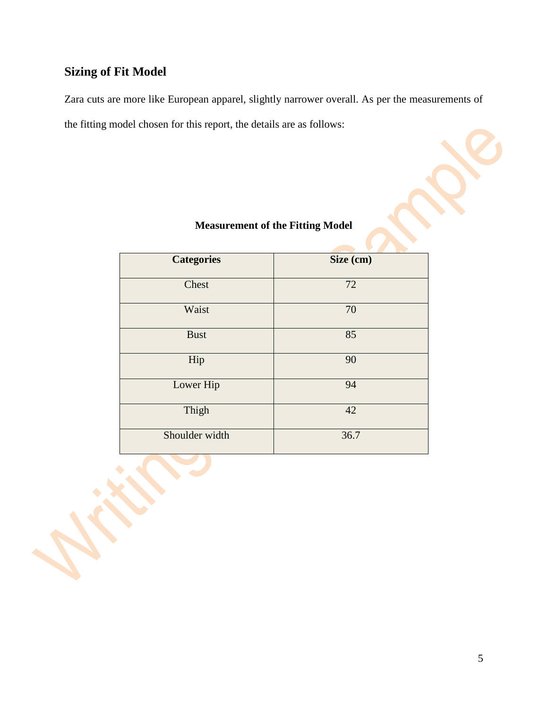# <span id="page-4-0"></span>**Sizing of Fit Model**

Zara cuts are more like European apparel, slightly narrower overall. As per the measurements of the fitting model chosen for this report, the details are as follows:

| <b>Categories</b> | Size (cm) |
|-------------------|-----------|
| Chest             | 72        |
| Waist             | 70        |
| <b>Bust</b>       | 85        |
| Hip               | 90        |
| Lower Hip         | 94        |
| Thigh             | 42        |
| Shoulder width    | 36.7      |

#### **Measurement of the Fitting Model**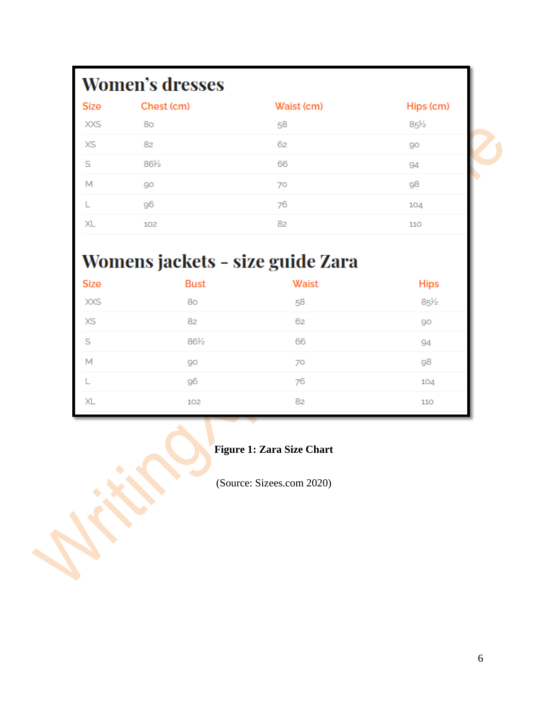# **Women's dresses**

| <b>Size</b> | Chest (cm) | Waist (cm) | Hips (cm)       |
|-------------|------------|------------|-----------------|
| <b>XXS</b>  | 80         | 58         | $85\frac{1}{2}$ |
| <b>XS</b>   | 82         | 62         | 90              |
| S           | 86½        | 66         | 94              |
| M           | 90         | 70         | 98              |
|             | 96         | 76         | 104             |
| XL          | 102        | 82         | 110             |

# Womens jackets - size guide Zara

| Size       | <b>Bust</b> | <b>Waist</b> | <b>Hips</b>     |
|------------|-------------|--------------|-----------------|
| <b>XXS</b> | 80          | 58           | $85\frac{1}{2}$ |
| <b>XS</b>  | 82          | 62           | 90              |
| S          | 86½         | 66           | 94              |
| M          | 90          | 70           | 98              |
|            | 96          | 76           | 104             |
| XL         | 102         | 82           | 110             |

**Figure 1: Zara Size Chart**

(Source: Sizees.com 2020)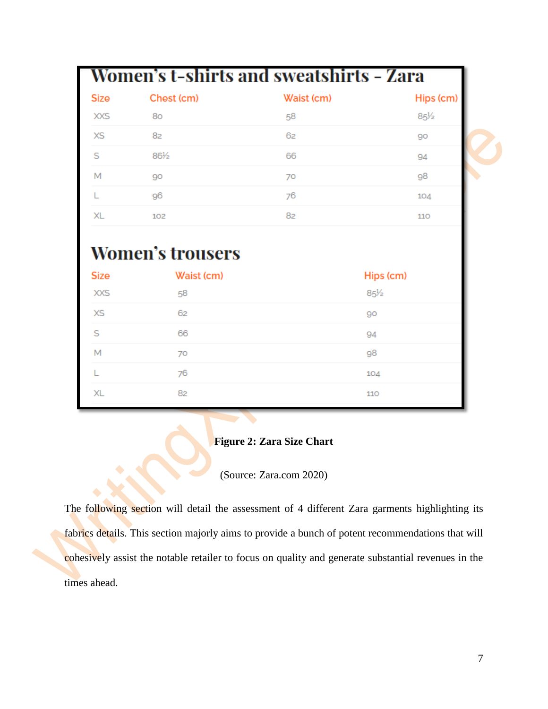|            | Waist (cm)                            | Hips (cm)                                      |
|------------|---------------------------------------|------------------------------------------------|
| 80         | 58                                    | $85\frac{1}{2}$                                |
| 82         | 62                                    | 90                                             |
| 86½        | 66                                    | 94                                             |
| 90         | 70                                    | 98                                             |
| 96         | 76                                    | 104                                            |
| 102        | 82                                    | 110                                            |
| Waist (cm) |                                       | Hips (cm)                                      |
| 58         |                                       | $85\frac{1}{2}$                                |
| 62         |                                       | 90                                             |
|            |                                       |                                                |
| 66         |                                       | 94                                             |
| 70         |                                       | 98                                             |
|            | Chest (cm)<br><b>Women's trousers</b> | <b>Women's t-shirts and sweatshirts - Zara</b> |

#### **Figure 2: Zara Size Chart**

110

XL

82

#### (Source: Zara.com 2020)

The following section will detail the assessment of 4 different Zara garments highlighting its fabrics details. This section majorly aims to provide a bunch of potent recommendations that will cohesively assist the notable retailer to focus on quality and generate substantial revenues in the times ahead.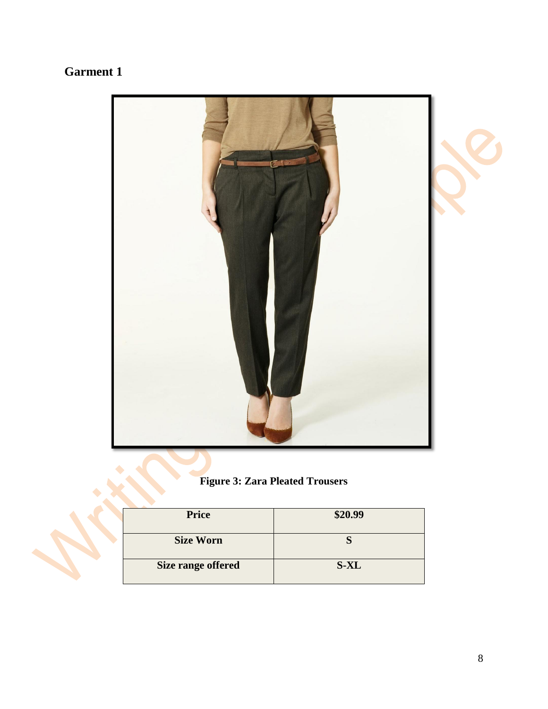# <span id="page-7-0"></span>**Garment 1**



## **Figure 3: Zara Pleated Trousers**

| <b>Price</b>              | \$20.99 |
|---------------------------|---------|
| <b>Size Worn</b>          |         |
| <b>Size range offered</b> | $S-XL$  |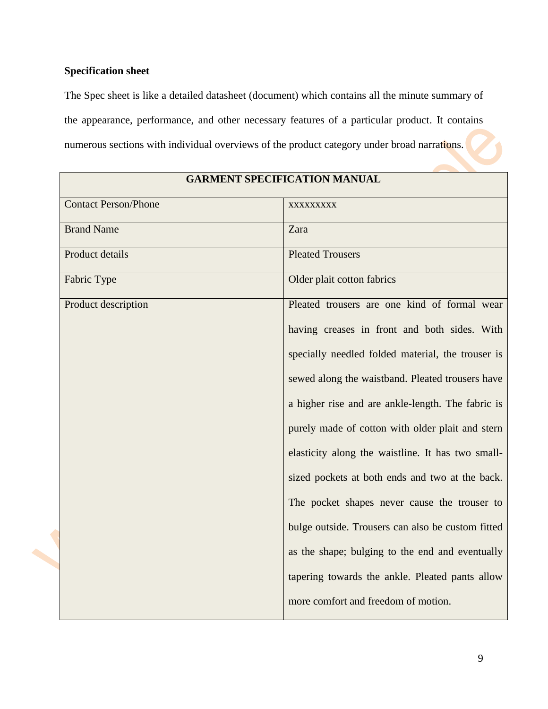#### <span id="page-8-0"></span>**Specification sheet**

The Spec sheet is like a detailed datasheet (document) which contains all the minute summary of the appearance, performance, and other necessary features of a particular product. It contains numerous sections with individual overviews of the product category under broad narrations.

| <b>GARMENT SPECIFICATION MANUAL</b> |                                                   |  |  |
|-------------------------------------|---------------------------------------------------|--|--|
| <b>Contact Person/Phone</b>         | XXXXXXXXX                                         |  |  |
| <b>Brand Name</b>                   | Zara                                              |  |  |
| Product details                     | <b>Pleated Trousers</b>                           |  |  |
| Fabric Type                         | Older plait cotton fabrics                        |  |  |
| Product description                 | Pleated trousers are one kind of formal wear      |  |  |
|                                     | having creases in front and both sides. With      |  |  |
|                                     | specially needled folded material, the trouser is |  |  |
|                                     | sewed along the waistband. Pleated trousers have  |  |  |
|                                     | a higher rise and are ankle-length. The fabric is |  |  |
|                                     | purely made of cotton with older plait and stern  |  |  |
|                                     | elasticity along the waistline. It has two small- |  |  |
|                                     | sized pockets at both ends and two at the back.   |  |  |
|                                     | The pocket shapes never cause the trouser to      |  |  |
|                                     | bulge outside. Trousers can also be custom fitted |  |  |
|                                     | as the shape; bulging to the end and eventually   |  |  |
|                                     | tapering towards the ankle. Pleated pants allow   |  |  |
|                                     | more comfort and freedom of motion.               |  |  |

#### **GARMENT SPECIFICATION MANUAL**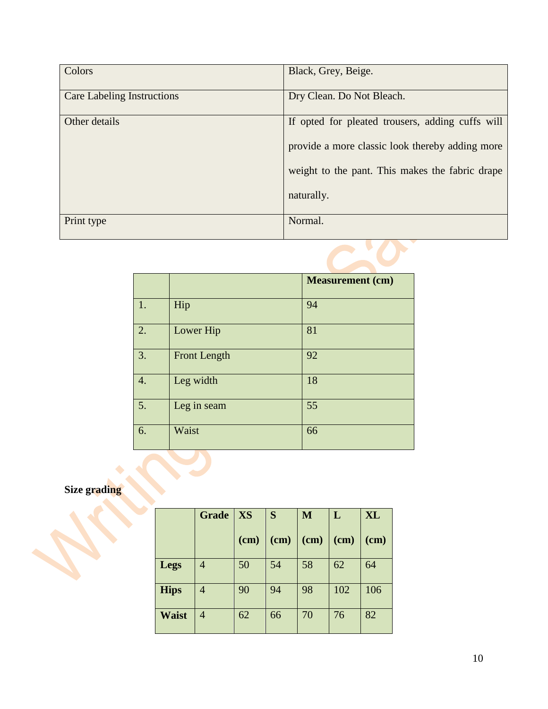| Colors                            | Black, Grey, Beige.                              |
|-----------------------------------|--------------------------------------------------|
| <b>Care Labeling Instructions</b> | Dry Clean. Do Not Bleach.                        |
| Other details                     | If opted for pleated trousers, adding cuffs will |
|                                   | provide a more classic look thereby adding more  |
|                                   | weight to the pant. This makes the fabric drape  |
|                                   | naturally.                                       |
| Print type                        | Normal.                                          |

|    |                     | <b>Measurement</b> (cm) |
|----|---------------------|-------------------------|
| 1. | Hip                 | 94                      |
| 2. | Lower Hip           | 81                      |
| 3. | <b>Front Length</b> | 92                      |
| 4. | Leg width           | 18                      |
| 5. | Leg in seam         | 55                      |
| 6. | Waist               | 66                      |

#### <span id="page-9-0"></span>**Size grading**

|              | <b>Grade</b>   | XS   | S      | M    | L    | <b>XL</b> |
|--------------|----------------|------|--------|------|------|-----------|
|              |                | (cm) | $(cm)$ | (cm) | (cm) | (cm)      |
| Legs         | 4              | 50   | 54     | 58   | 62   | 64        |
| <b>Hips</b>  | $\overline{4}$ | 90   | 94     | 98   | 102  | 106       |
| <b>Waist</b> | 4              | 62   | 66     | 70   | 76   | 82        |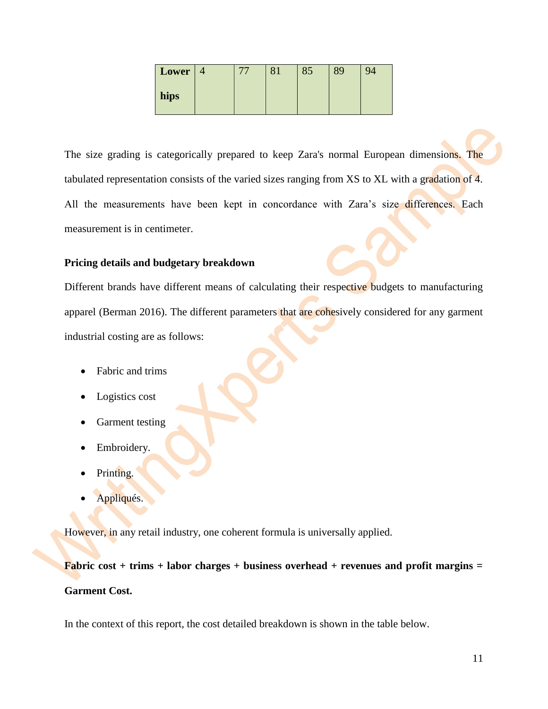| Lower |  | 85 | 89 | 94 |
|-------|--|----|----|----|
| hips  |  |    |    |    |

The size grading is categorically prepared to keep Zara's normal European dimensions. The tabulated representation consists of the varied sizes ranging from XS to XL with a gradation of 4. All the measurements have been kept in concordance with Zara's size differences. Each measurement is in centimeter.

#### <span id="page-10-0"></span>**Pricing details and budgetary breakdown**

Different brands have different means of calculating their respective budgets to manufacturing apparel (Berman 2016). The different parameters that are cohesively considered for any garment industrial costing are as follows:

- Fabric and trims
- Logistics cost
- Garment testing
- Embroidery.
- Printing.
- Appliqués.

However, in any retail industry, one coherent formula is universally applied.

**Fabric cost + trims + labor charges + business overhead + revenues and profit margins = Garment Cost.**

In the context of this report, the cost detailed breakdown is shown in the table below.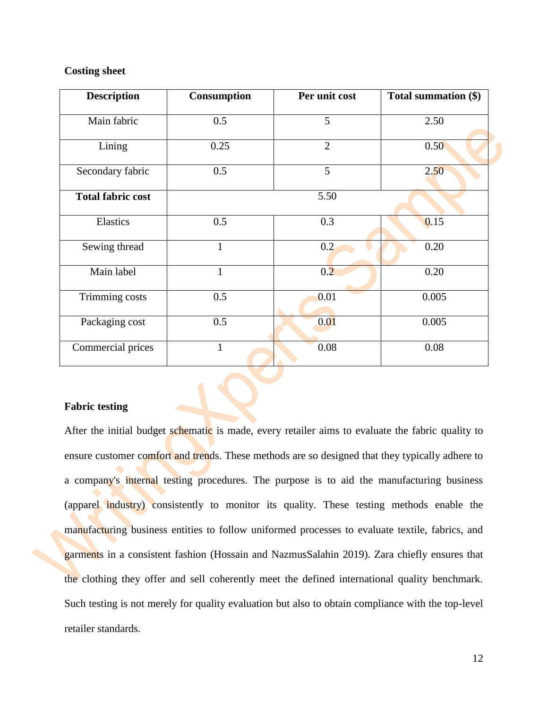#### <span id="page-11-0"></span>**Costing sheet**

| <b>Description</b>       | Consumption  | Per unit cost  | Total summation (\$) |
|--------------------------|--------------|----------------|----------------------|
| Main fabric              | 0.5          | 5              | 2.50                 |
| Lining                   | 0.25         | $\overline{2}$ | 0.50                 |
| Secondary fabric         | 0.5          | 5              | 2,50                 |
| <b>Total fabric cost</b> |              | 5.50           |                      |
| Elastics                 | 0.5          | 0.3            | 0.15                 |
| Sewing thread            | 1            | 0.2            | 0.20                 |
| Main label               | $\mathbf{1}$ | 0.2            | 0.20                 |
| Trimming costs           | 0.5          | 0.01           | 0.005                |
| Packaging cost           | 0.5          | 0.01           | 0.005                |
| Commercial prices        | $\mathbf{1}$ | 0.08           | 0.08                 |

#### <span id="page-11-1"></span>**Fabric testing**

After the initial budget schematic is made, every retailer aims to evaluate the fabric quality to ensure customer comfort and trends. These methods are so designed that they typically adhere to a company's internal testing procedures. The purpose is to aid the manufacturing business (apparel industry) consistently to monitor its quality. These testing methods enable the manufacturing business entities to follow uniformed processes to evaluate textile, fabrics, and garments in a consistent fashion (Hossain and NazmusSalahin 2019). Zara chiefly ensures that the clothing they offer and sell coherently meet the defined international quality benchmark. Such testing is not merely for quality evaluation but also to obtain compliance with the top-level retailer standards.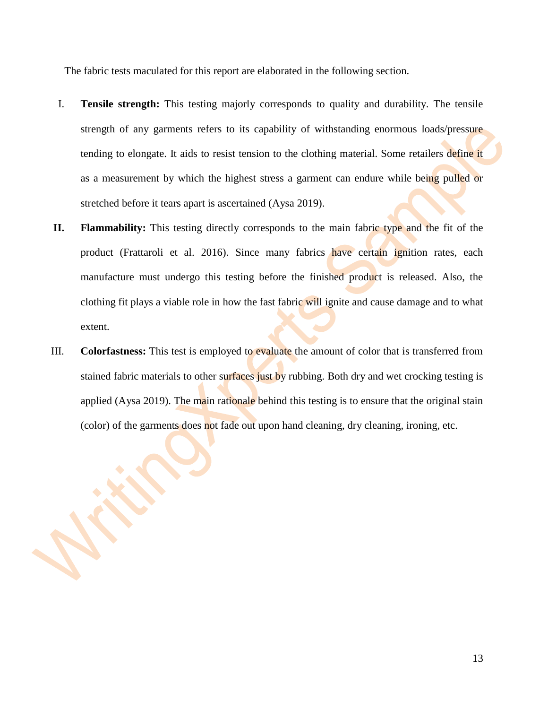The fabric tests maculated for this report are elaborated in the following section.

- I. **Tensile strength:** This testing majorly corresponds to quality and durability. The tensile strength of any garments refers to its capability of withstanding enormous loads/pressure tending to elongate. It aids to resist tension to the clothing material. Some retailers define it as a measurement by which the highest stress a garment can endure while being pulled or stretched before it tears apart is ascertained (Aysa 2019).
- **II. Flammability:** This testing directly corresponds to the main fabric type and the fit of the product (Frattaroli et al. 2016). Since many fabrics have certain ignition rates, each manufacture must undergo this testing before the finished product is released. Also, the clothing fit plays a viable role in how the fast fabric will ignite and cause damage and to what extent.
- III. **Colorfastness:** This test is employed to evaluate the amount of color that is transferred from stained fabric materials to other surfaces just by rubbing. Both dry and wet crocking testing is applied (Aysa 2019). The main rationale behind this testing is to ensure that the original stain (color) of the garments does not fade out upon hand cleaning, dry cleaning, ironing, etc.

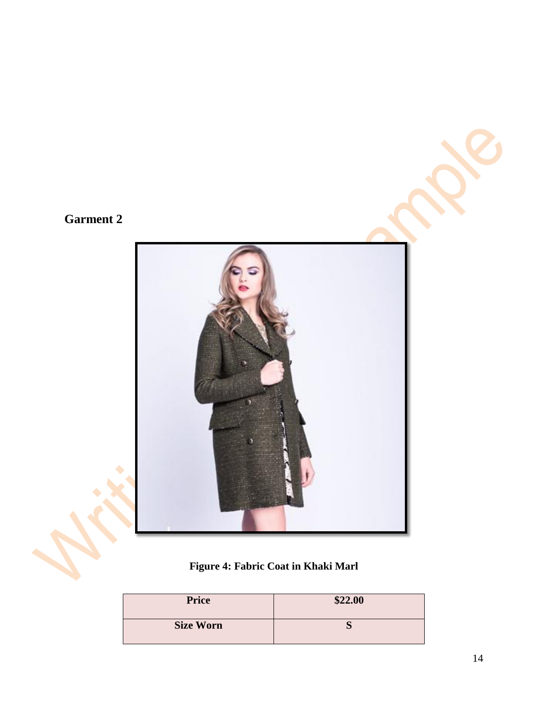# <span id="page-13-0"></span>**Garment 2**



**Figure 4: Fabric Coat in Khaki Marl** 

| <b>Price</b>     | \$22.00 |
|------------------|---------|
| <b>Size Worn</b> |         |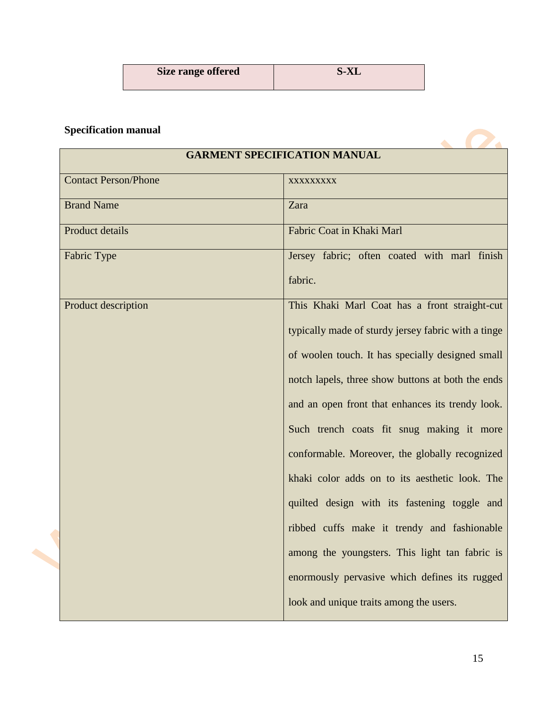| Size range offered | <b>S-XL</b> |
|--------------------|-------------|
|                    |             |

## <span id="page-14-0"></span>**Specification manual**

|                             | <b>GARMENT SPECIFICATION MANUAL</b>                 |
|-----------------------------|-----------------------------------------------------|
|                             |                                                     |
| <b>Contact Person/Phone</b> | XXXXXXXXX                                           |
| <b>Brand Name</b>           | Zara                                                |
| Product details             | Fabric Coat in Khaki Marl                           |
| Fabric Type                 | Jersey fabric; often coated with marl finish        |
|                             | fabric.                                             |
| Product description         | This Khaki Marl Coat has a front straight-cut       |
|                             | typically made of sturdy jersey fabric with a tinge |
|                             | of woolen touch. It has specially designed small    |
|                             | notch lapels, three show buttons at both the ends   |
|                             | and an open front that enhances its trendy look.    |
|                             | Such trench coats fit snug making it more           |
|                             | conformable. Moreover, the globally recognized      |
|                             | khaki color adds on to its aesthetic look. The      |
|                             | quilted design with its fastening toggle and        |
|                             | ribbed cuffs make it trendy and fashionable         |
|                             | among the youngsters. This light tan fabric is      |
|                             | enormously pervasive which defines its rugged       |
|                             | look and unique traits among the users.             |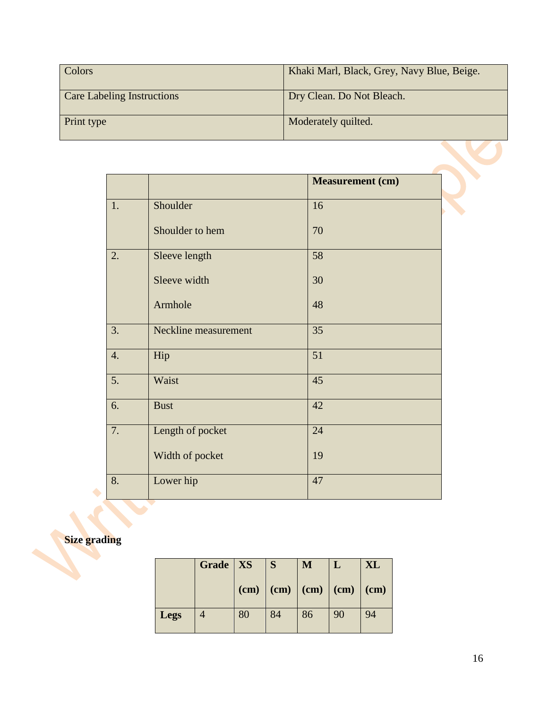| Colors                            | Khaki Marl, Black, Grey, Navy Blue, Beige. |
|-----------------------------------|--------------------------------------------|
| <b>Care Labeling Instructions</b> | Dry Clean. Do Not Bleach.                  |
| Print type                        | Moderately quilted.                        |

|    |                      | <b>Measurement</b> (cm) |
|----|----------------------|-------------------------|
|    |                      |                         |
| 1. | Shoulder             | 16                      |
|    | Shoulder to hem      | 70                      |
|    |                      |                         |
| 2. | Sleeve length        | 58                      |
|    |                      |                         |
|    | Sleeve width         | 30                      |
|    |                      |                         |
|    | Armhole              | 48                      |
|    |                      |                         |
| 3. | Neckline measurement | 35                      |
|    |                      |                         |
| 4. | Hip                  | 51                      |
| 5. | Waist                | 45                      |
|    |                      |                         |
| 6. | <b>Bust</b>          | 42                      |
|    |                      |                         |
| 7. | Length of pocket     | 24                      |
|    |                      |                         |
|    | Width of pocket      | 19                      |
|    |                      |                         |
| 8. | Lower hip            | 47                      |
|    |                      |                         |

# <span id="page-15-0"></span>**Size grading**

|             | Grade   $XS$   |    | S                                                                | M  |    | XL |
|-------------|----------------|----|------------------------------------------------------------------|----|----|----|
|             |                |    | $\vert$ (cm) $\vert$ (cm) $\vert$ (cm) $\vert$ (cm) $\vert$ (cm) |    |    |    |
| <b>Legs</b> | $\overline{4}$ | 80 | 84                                                               | 86 | 90 | 94 |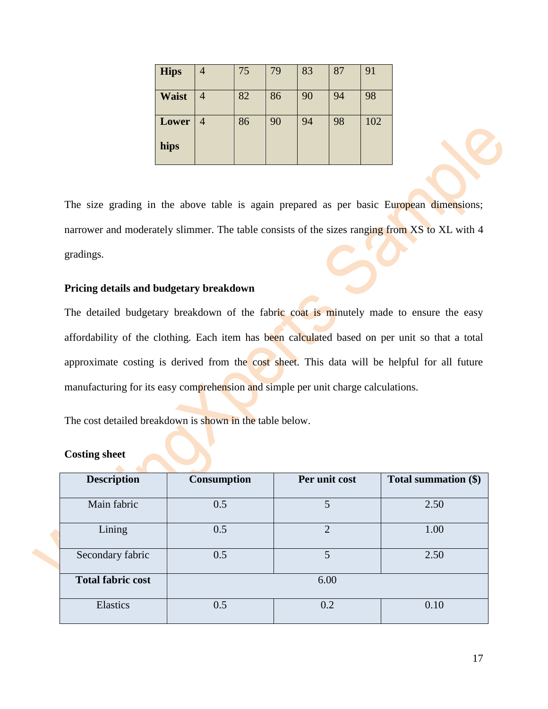| <b>Hips</b>  | $\overline{4}$ | 75 | 79 | 83 | 87 | 91  |
|--------------|----------------|----|----|----|----|-----|
| <b>Waist</b> | $\overline{4}$ | 82 | 86 | 90 | 94 | 98  |
| Lower        | 4              | 86 | 90 | 94 | 98 | 102 |
| hips         |                |    |    |    |    |     |

The size grading in the above table is again prepared as per basic European dimensions; narrower and moderately slimmer. The table consists of the sizes ranging from XS to XL with 4 gradings.

#### <span id="page-16-0"></span>**Pricing details and budgetary breakdown**

The detailed budgetary breakdown of the fabric coat is minutely made to ensure the easy affordability of the clothing. Each item has been calculated based on per unit so that a total approximate costing is derived from the cost sheet. This data will be helpful for all future manufacturing for its easy comprehension and simple per unit charge calculations.

The cost detailed breakdown is shown in the table below.

#### <span id="page-16-1"></span>**Costing sheet**

| <b>Description</b>       | <b>Consumption</b> | Per unit cost | Total summation (\$) |
|--------------------------|--------------------|---------------|----------------------|
| Main fabric              | 0.5                | 5             | 2.50                 |
| Lining                   | 0.5                | $\mathcal{D}$ | 1.00                 |
| Secondary fabric         | 0.5                | 5             | 2.50                 |
| <b>Total fabric cost</b> |                    | 6.00          |                      |
| Elastics                 | 0.5                | 0.2           | 0.10                 |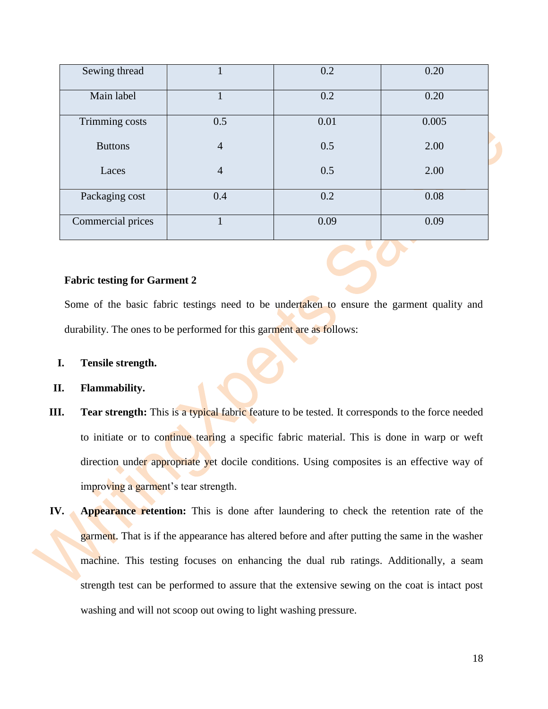| Sewing thread     |                | 0.2  | 0.20  |
|-------------------|----------------|------|-------|
| Main label        |                | 0.2  | 0.20  |
| Trimming costs    | 0.5            | 0.01 | 0.005 |
| <b>Buttons</b>    | $\overline{4}$ | 0.5  | 2.00  |
| Laces             | $\overline{4}$ | 0.5  | 2.00  |
| Packaging cost    | 0.4            | 0.2  | 0.08  |
| Commercial prices |                | 0.09 | 0.09  |

#### <span id="page-17-0"></span>**Fabric testing for Garment 2**

Some of the basic fabric testings need to be undertaken to ensure the garment quality and durability. The ones to be performed for this garment are as follows:

#### **I. Tensile strength.**

- **II. Flammability.**
- **III. Tear strength:** This is a typical fabric feature to be tested. It corresponds to the force needed to initiate or to continue tearing a specific fabric material. This is done in warp or weft direction under appropriate yet docile conditions. Using composites is an effective way of improving a garment's tear strength.
- **IV. Appearance retention:** This is done after laundering to check the retention rate of the garment. That is if the appearance has altered before and after putting the same in the washer machine. This testing focuses on enhancing the dual rub ratings. Additionally, a seam strength test can be performed to assure that the extensive sewing on the coat is intact post washing and will not scoop out owing to light washing pressure.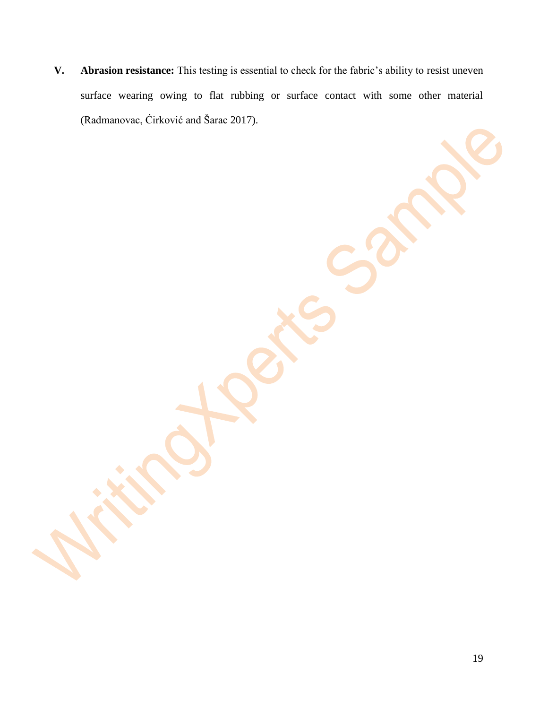**V. Abrasion resistance:** This testing is essential to check for the fabric's ability to resist uneven surface wearing owing to flat rubbing or surface contact with some other material (Radmanovac, Ćirković and Šarac 2017).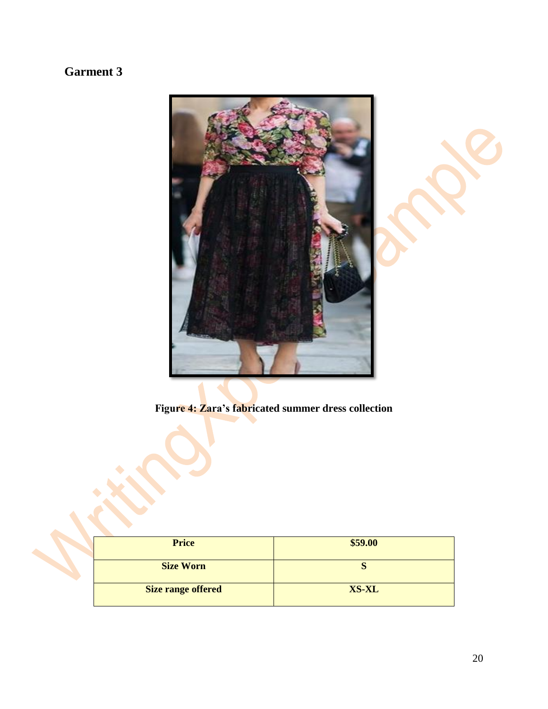# <span id="page-19-0"></span>**Garment 3**



**Figure 4: Zara's fabricated summer dress collection**

| <b>Price</b>              | \$59.00      |
|---------------------------|--------------|
| <b>Size Worn</b>          |              |
| <b>Size range offered</b> | <b>XS-XL</b> |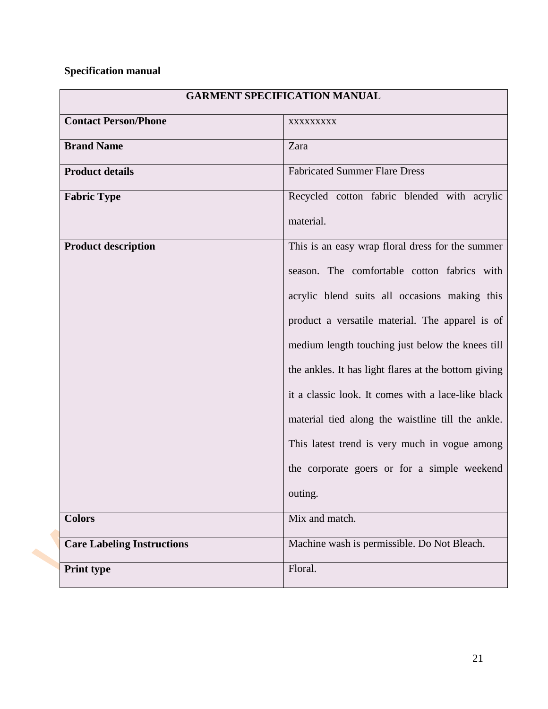## <span id="page-20-0"></span>**Specification manual**

|                                   | <b>GARMENT SPECIFICATION MANUAL</b>                  |  |  |
|-----------------------------------|------------------------------------------------------|--|--|
| <b>Contact Person/Phone</b>       | XXXXXXXXX                                            |  |  |
| <b>Brand Name</b>                 | Zara                                                 |  |  |
| <b>Product details</b>            | <b>Fabricated Summer Flare Dress</b>                 |  |  |
| <b>Fabric Type</b>                | Recycled cotton fabric blended with acrylic          |  |  |
|                                   | material.                                            |  |  |
| <b>Product description</b>        | This is an easy wrap floral dress for the summer     |  |  |
|                                   | season. The comfortable cotton fabrics with          |  |  |
|                                   | acrylic blend suits all occasions making this        |  |  |
|                                   | product a versatile material. The apparel is of      |  |  |
|                                   | medium length touching just below the knees till     |  |  |
|                                   | the ankles. It has light flares at the bottom giving |  |  |
|                                   | it a classic look. It comes with a lace-like black   |  |  |
|                                   | material tied along the waistline till the ankle.    |  |  |
|                                   | This latest trend is very much in vogue among        |  |  |
|                                   | the corporate goers or for a simple weekend          |  |  |
|                                   | outing.                                              |  |  |
| <b>Colors</b>                     | Mix and match.                                       |  |  |
| <b>Care Labeling Instructions</b> | Machine wash is permissible. Do Not Bleach.          |  |  |
| <b>Print type</b>                 | Floral.                                              |  |  |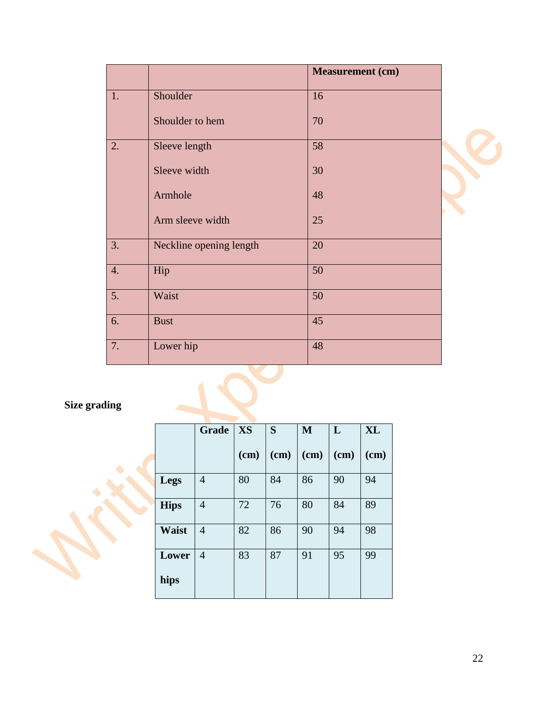|    |                         | <b>Measurement</b> (cm) |  |
|----|-------------------------|-------------------------|--|
| 1. | Shoulder                | 16                      |  |
|    | Shoulder to hem         | 70                      |  |
| 2. | Sleeve length           | 58                      |  |
|    | Sleeve width            | 30                      |  |
|    | Armhole                 | 48                      |  |
|    | Arm sleeve width        | 25                      |  |
| 3. | Neckline opening length | 20                      |  |
| 4. | Hip                     | 50                      |  |
| 5. | Waist                   | 50                      |  |
| 6. | <b>Bust</b>             | 45                      |  |
| 7. | Lower hip               | 48                      |  |

# <span id="page-21-0"></span>**Size grading**

|              | Grade          | <b>XS</b> | S      | M      | L    | <b>XL</b> |
|--------------|----------------|-----------|--------|--------|------|-----------|
|              |                | (cm)      | $(cm)$ | $(cm)$ | (cm) | $(cm)$    |
| Legs         | $\overline{4}$ | 80        | 84     | 86     | 90   | 94        |
| <b>Hips</b>  | $\overline{4}$ | 72        | 76     | 80     | 84   | 89        |
| <b>Waist</b> | $\overline{4}$ | 82        | 86     | 90     | 94   | 98        |
| Lower        | $\overline{4}$ | 83        | 87     | 91     | 95   | 99        |
| hips         |                |           |        |        |      |           |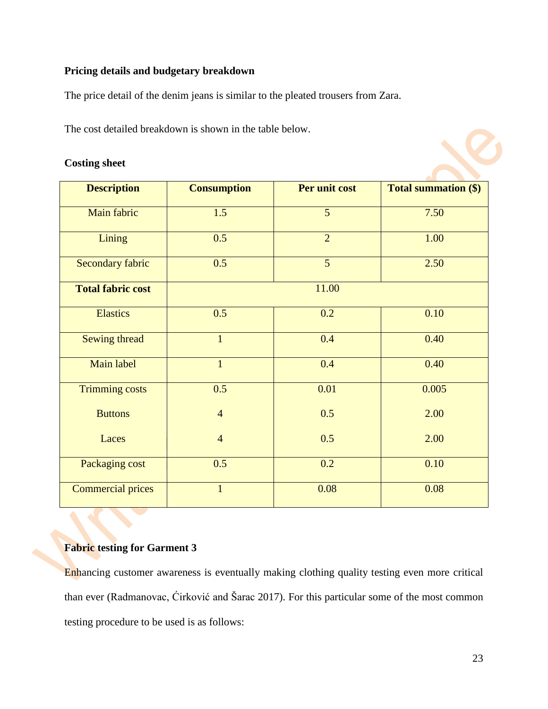#### <span id="page-22-0"></span>**Pricing details and budgetary breakdown**

The price detail of the denim jeans is similar to the pleated trousers from Zara.

The cost detailed breakdown is shown in the table below.

#### <span id="page-22-1"></span>**Costing sheet**

| <b>Description</b>       | <b>Consumption</b> | Per unit cost     | <b>Total summation (\$)</b> |
|--------------------------|--------------------|-------------------|-----------------------------|
| Main fabric              | 1.5                | 5                 | 7.50                        |
| Lining                   | 0.5                | $\overline{2}$    | 1.00                        |
| <b>Secondary fabric</b>  | 0.5                | $\overline{5}$    | 2.50                        |
| <b>Total fabric cost</b> |                    | 11.00             |                             |
| <b>Elastics</b>          | 0.5                | 0.2               | 0.10                        |
| Sewing thread            | $\mathbf{1}$       | 0.4               | 0.40                        |
| Main label               | $\mathbf{1}$       | 0.4               | 0.40                        |
| <b>Trimming costs</b>    | 0.5                | $\overline{0.01}$ | 0.005                       |
| <b>Buttons</b>           | $\overline{4}$     | 0.5               | 2.00                        |
| Laces                    | $\overline{4}$     | 0.5               | 2.00                        |
| Packaging cost           | 0.5                | 0.2               | 0.10                        |
| <b>Commercial prices</b> | $\mathbf{1}$       | 0.08              | 0.08                        |

#### <span id="page-22-2"></span>**Fabric testing for Garment 3**

Enhancing customer awareness is eventually making clothing quality testing even more critical than ever (Radmanovac, Ćirković and Šarac 2017). For this particular some of the most common testing procedure to be used is as follows: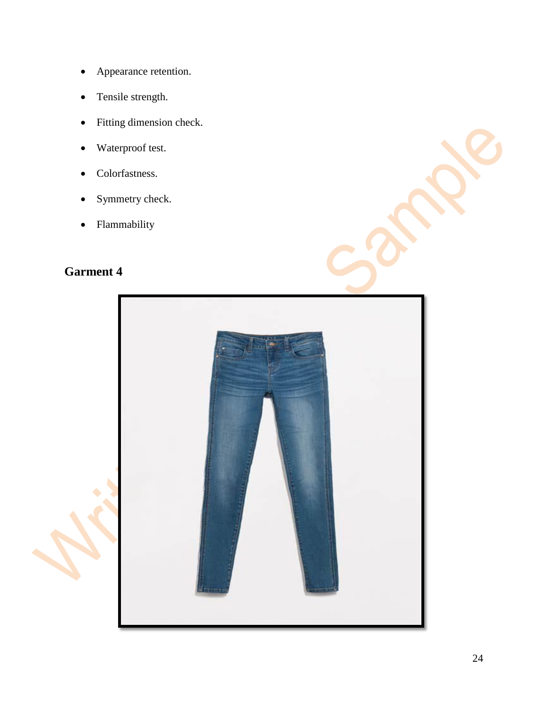- Appearance retention.
- Tensile strength.
- Fitting dimension check.
- Waterproof test.
- Colorfastness.
- Symmetry check.
- Flammability

# <span id="page-23-0"></span>**Garment 4**

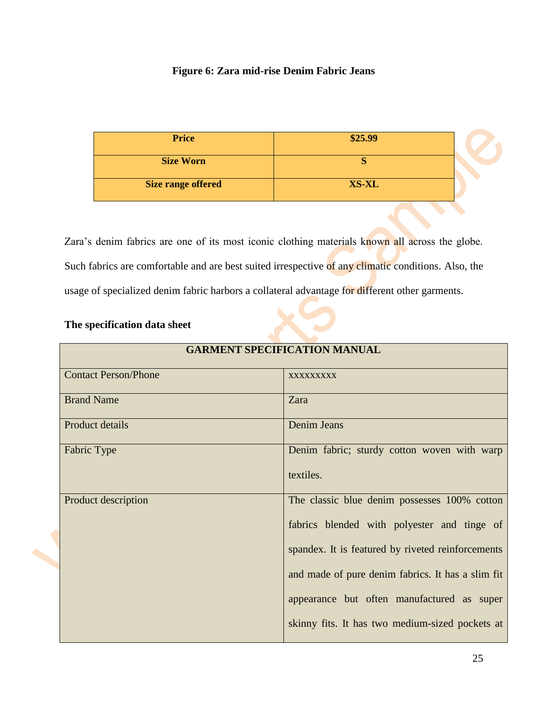#### **Figure 6: Zara mid-rise Denim Fabric Jeans**

| <b>Price</b>              | \$25.99      |  |
|---------------------------|--------------|--|
| <b>Size Worn</b>          |              |  |
| <b>Size range offered</b> | <b>XS-XL</b> |  |

Zara's denim fabrics are one of its most iconic clothing materials known all across the globe. Such fabrics are comfortable and are best suited irrespective of any climatic conditions. Also, the usage of specialized denim fabric harbors a collateral advantage for different other garments.

#### <span id="page-24-0"></span>**The specification data sheet**

| <b>GARMENT SPECIFICATION MANUAL</b> |                                                                                                                                                                                                                                                                                                        |  |  |
|-------------------------------------|--------------------------------------------------------------------------------------------------------------------------------------------------------------------------------------------------------------------------------------------------------------------------------------------------------|--|--|
| <b>Contact Person/Phone</b>         | <b>XXXXXXXXX</b>                                                                                                                                                                                                                                                                                       |  |  |
| <b>Brand Name</b>                   | Zara                                                                                                                                                                                                                                                                                                   |  |  |
| Product details                     | <b>Denim Jeans</b>                                                                                                                                                                                                                                                                                     |  |  |
| Fabric Type                         | Denim fabric; sturdy cotton woven with warp<br>textiles.                                                                                                                                                                                                                                               |  |  |
| Product description                 | The classic blue denim possesses 100% cotton<br>fabrics blended with polyester and tinge of<br>spandex. It is featured by riveted reinforcements<br>and made of pure denim fabrics. It has a slim fit<br>appearance but often manufactured as super<br>skinny fits. It has two medium-sized pockets at |  |  |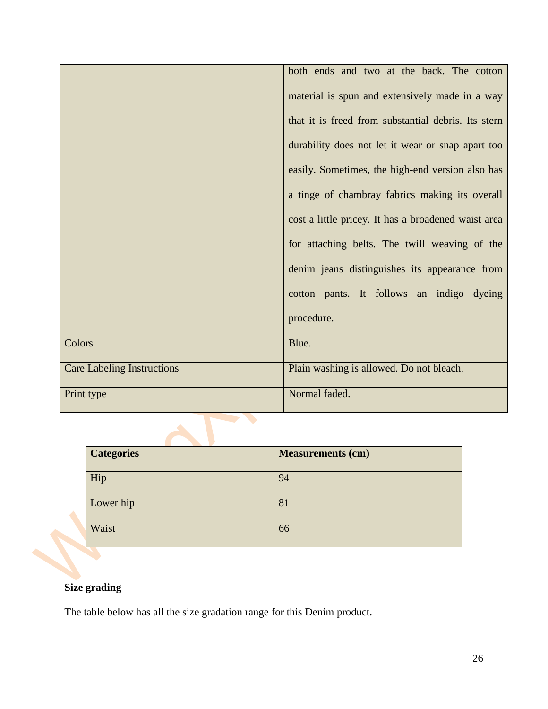|                                   | both ends and two at the back. The cotton           |  |  |
|-----------------------------------|-----------------------------------------------------|--|--|
|                                   | material is spun and extensively made in a way      |  |  |
|                                   | that it is freed from substantial debris. Its stern |  |  |
|                                   | durability does not let it wear or snap apart too   |  |  |
|                                   | easily. Sometimes, the high-end version also has    |  |  |
|                                   | a tinge of chambray fabrics making its overall      |  |  |
|                                   | cost a little pricey. It has a broadened waist area |  |  |
|                                   | for attaching belts. The twill weaving of the       |  |  |
|                                   | denim jeans distinguishes its appearance from       |  |  |
|                                   | cotton pants. It follows an indigo dyeing           |  |  |
|                                   | procedure.                                          |  |  |
| Colors                            | Blue.                                               |  |  |
| <b>Care Labeling Instructions</b> | Plain washing is allowed. Do not bleach.            |  |  |
| Print type                        | Normal faded.                                       |  |  |

| <b>Categories</b> | <b>Measurements (cm)</b> |
|-------------------|--------------------------|
| Hip               | 94                       |
| Lower hip         | 81                       |
| Waist             | 66                       |

#### <span id="page-25-0"></span>**Size grading**

The table below has all the size gradation range for this Denim product.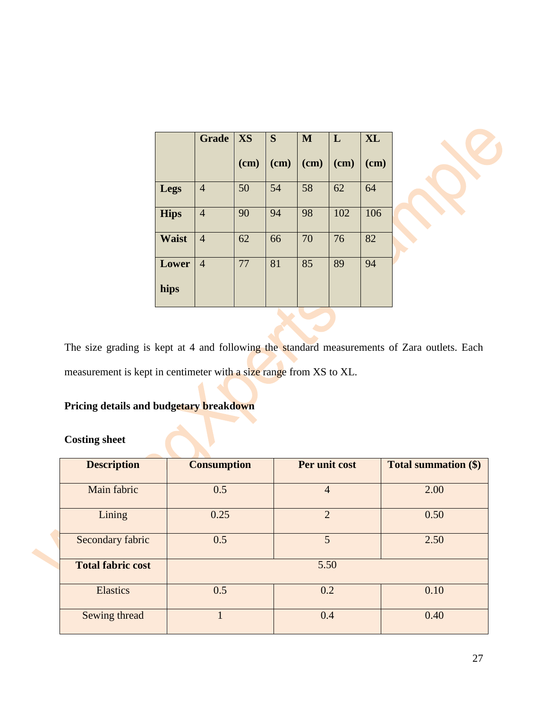|               | Grade          | <b>XS</b> | S    | M    | L      | <b>XL</b> |
|---------------|----------------|-----------|------|------|--------|-----------|
|               |                | (cm)      | (cm) | (cm) | $(cm)$ | $cm$ )    |
| Legs          | $\overline{4}$ | 50        | 54   | 58   | 62     | 64        |
| <b>Hips</b>   | $\overline{4}$ | 90        | 94   | 98   | 102    | 106       |
| <b>Waist</b>  | $\overline{4}$ | 62        | 66   | 70   | 76     | 82        |
| Lower<br>hips | $\overline{4}$ | 77        | 81   | 85   | 89     | 94        |
|               |                |           |      |      |        |           |



The size grading is kept at 4 and following the standard measurements of Zara outlets. Each measurement is kept in centimeter with a size range from XS to XL.

#### <span id="page-26-0"></span>**Pricing details and budgetary breakdown**

#### <span id="page-26-1"></span>**Costing sheet**

| <b>Description</b>       | <b>Consumption</b> | Per unit cost  | <b>Total summation (\$)</b> |  |
|--------------------------|--------------------|----------------|-----------------------------|--|
| Main fabric              | 0.5                | $\overline{4}$ | 2.00                        |  |
| Lining                   | 0.25               | $\overline{2}$ | 0.50                        |  |
| Secondary fabric         | 0.5                | 5              | 2.50                        |  |
| <b>Total fabric cost</b> |                    | 5.50           |                             |  |
| <b>Elastics</b>          | 0.5                | 0.2            | 0.10                        |  |
| Sewing thread            |                    | 0.4            | 0.40                        |  |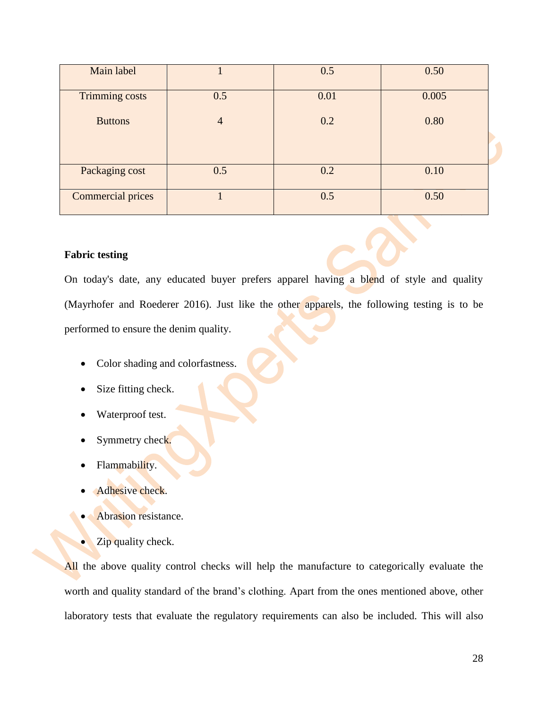| Main label            |                | 0.5  | 0.50  |
|-----------------------|----------------|------|-------|
| <b>Trimming costs</b> | 0.5            | 0.01 | 0.005 |
| <b>Buttons</b>        | $\overline{4}$ | 0.2  | 0.80  |
|                       |                |      |       |
| Packaging cost        | 0.5            | 0.2  | 0.10  |
| Commercial prices     |                | 0.5  | 0.50  |

#### <span id="page-27-0"></span>**Fabric testing**

On today's date, any educated buyer prefers apparel having a blend of style and quality (Mayrhofer and Roederer 2016). Just like the other apparels, the following testing is to be performed to ensure the denim quality.

- Color shading and colorfastness.
- Size fitting check.
- Waterproof test.
- Symmetry check.
- Flammability.
- Adhesive check.
- Abrasion resistance.
- Zip quality check.

All the above quality control checks will help the manufacture to categorically evaluate the worth and quality standard of the brand's clothing. Apart from the ones mentioned above, other laboratory tests that evaluate the regulatory requirements can also be included. This will also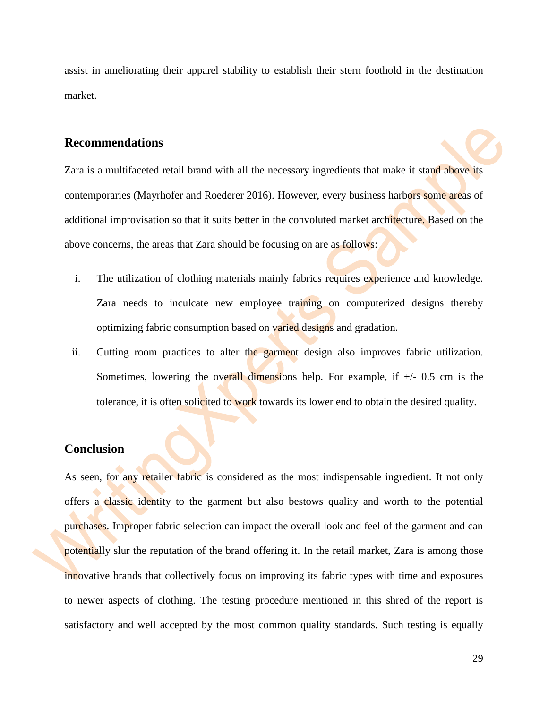assist in ameliorating their apparel stability to establish their stern foothold in the destination market.

#### <span id="page-28-0"></span>**Recommendations**

Zara is a multifaceted retail brand with all the necessary ingredients that make it stand above its contemporaries (Mayrhofer and Roederer 2016). However, every business harbors some areas of additional improvisation so that it suits better in the convoluted market architecture. Based on the above concerns, the areas that Zara should be focusing on are as follows:

- i. The utilization of clothing materials mainly fabrics requires experience and knowledge. Zara needs to inculcate new employee training on computerized designs thereby optimizing fabric consumption based on varied designs and gradation.
- ii. Cutting room practices to alter the garment design also improves fabric utilization. Sometimes, lowering the overall dimensions help. For example, if  $+/- 0.5$  cm is the tolerance, it is often solicited to work towards its lower end to obtain the desired quality.

#### <span id="page-28-1"></span>**Conclusion**

As seen, for any retailer fabric is considered as the most indispensable ingredient. It not only offers a classic identity to the garment but also bestows quality and worth to the potential purchases. Improper fabric selection can impact the overall look and feel of the garment and can potentially slur the reputation of the brand offering it. In the retail market, Zara is among those innovative brands that collectively focus on improving its fabric types with time and exposures to newer aspects of clothing. The testing procedure mentioned in this shred of the report is satisfactory and well accepted by the most common quality standards. Such testing is equally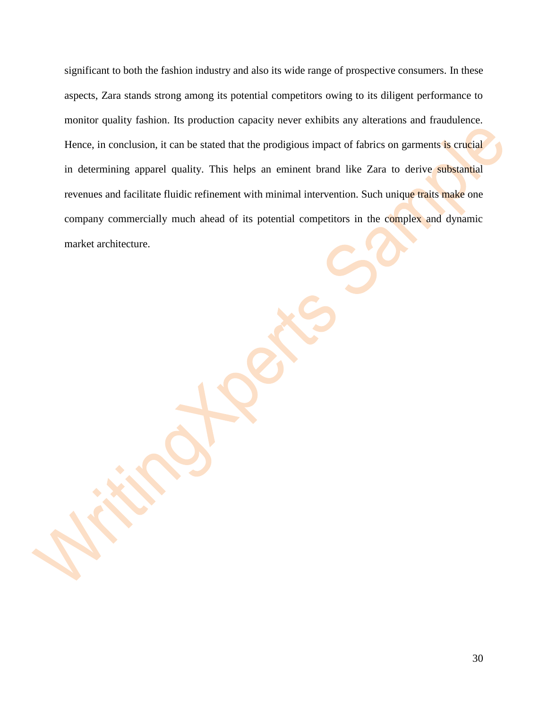significant to both the fashion industry and also its wide range of prospective consumers. In these aspects, Zara stands strong among its potential competitors owing to its diligent performance to monitor quality fashion. Its production capacity never exhibits any alterations and fraudulence. Hence, in conclusion, it can be stated that the prodigious impact of fabrics on garments is crucial in determining apparel quality. This helps an eminent brand like Zara to derive substantial revenues and facilitate fluidic refinement with minimal intervention. Such unique traits make one company commercially much ahead of its potential competitors in the complex and dynamic market architecture.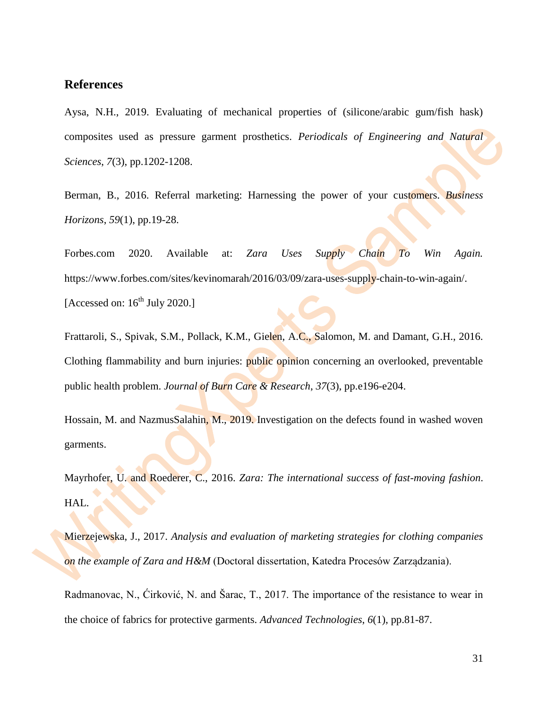#### <span id="page-30-0"></span>**References**

Aysa, N.H., 2019. Evaluating of mechanical properties of (silicone/arabic gum/fish hask) composites used as pressure garment prosthetics. *Periodicals of Engineering and Natural Sciences*, *7*(3), pp.1202-1208.

Berman, B., 2016. Referral marketing: Harnessing the power of your customers. *Business Horizons*, *59*(1), pp.19-28.

Forbes.com 2020. Available at: *Zara Uses Supply Chain To Win Again.* https://www.forbes.com/sites/kevinomarah/2016/03/09/zara-uses-supply-chain-to-win-again/. [Accessed on:  $16^{th}$  July 2020.]

Frattaroli, S., Spivak, S.M., Pollack, K.M., Gielen, A.C., Salomon, M. and Damant, G.H., 2016. Clothing flammability and burn injuries: public opinion concerning an overlooked, preventable public health problem. *Journal of Burn Care & Research*, *37*(3), pp.e196-e204.

Hossain, M. and NazmusSalahin, M., 2019. Investigation on the defects found in washed woven garments.

Mayrhofer, U. and Roederer, C., 2016. *Zara: The international success of fast-moving fashion*. HAL.

Mierzejewska, J., 2017. *Analysis and evaluation of marketing strategies for clothing companies on the example of Zara and H&M* (Doctoral dissertation, Katedra Procesów Zarządzania).

Radmanovac, N., Ćirković, N. and Šarac, T., 2017. The importance of the resistance to wear in the choice of fabrics for protective garments. *Advanced Technologies*, *6*(1), pp.81-87.